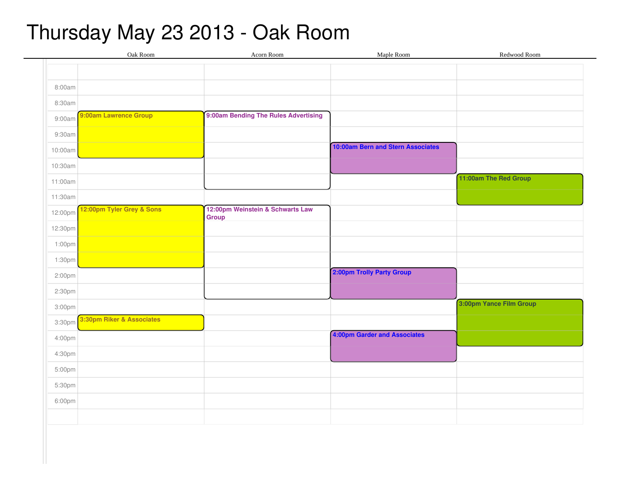## Thursday May 23 2013 - Oak Room

|         | Oak Room                  | Acorn Room                                       | Maple Room                        | Redwood Room            |
|---------|---------------------------|--------------------------------------------------|-----------------------------------|-------------------------|
|         |                           |                                                  |                                   |                         |
| 8:00am  |                           |                                                  |                                   |                         |
| 8:30am  |                           |                                                  |                                   |                         |
| 9:00am  | 9:00am Lawrence Group     | 9:00am Bending The Rules Advertising             |                                   |                         |
| 9:30am  |                           |                                                  |                                   |                         |
| 10:00am |                           |                                                  | 10:00am Bern and Stern Associates |                         |
| 10:30am |                           |                                                  |                                   |                         |
| 11:00am |                           |                                                  |                                   | 11:00am The Red Group   |
| 11:30am |                           |                                                  |                                   |                         |
| 12:00pm | 12:00pm Tyler Grey & Sons | 12:00pm Weinstein & Schwarts Law<br><b>Group</b> |                                   |                         |
| 12:30pm |                           |                                                  |                                   |                         |
| 1:00pm  |                           |                                                  |                                   |                         |
| 1:30pm  |                           |                                                  |                                   |                         |
| 2:00pm  |                           |                                                  | 2:00pm Trolly Party Group         |                         |
| 2:30pm  |                           |                                                  |                                   |                         |
| 3:00pm  |                           |                                                  |                                   | 3:00pm Yance Film Group |
| 3:30pm  | 3:30pm Riker & Associates |                                                  |                                   |                         |
| 4:00pm  |                           |                                                  | 4:00pm Garder and Associates      |                         |
| 4:30pm  |                           |                                                  |                                   |                         |
| 5:00pm  |                           |                                                  |                                   |                         |
| 5:30pm  |                           |                                                  |                                   |                         |
| 6:00pm  |                           |                                                  |                                   |                         |
|         |                           |                                                  |                                   |                         |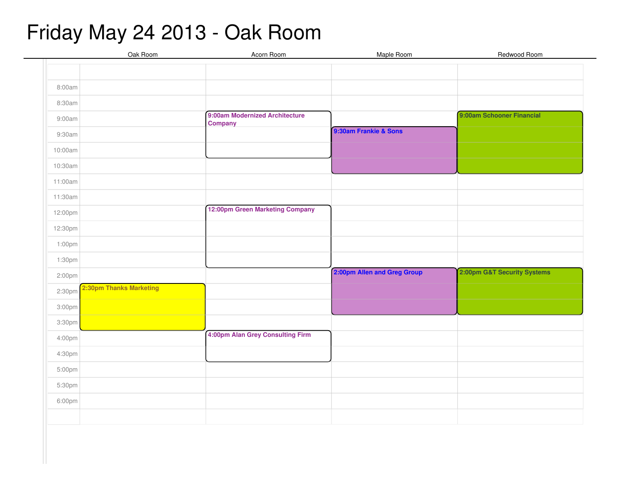## Friday May 24 2013 - Oak Room

|         | Oak Room                | Acorn Room                       | Maple Room                  | Redwood Room                |
|---------|-------------------------|----------------------------------|-----------------------------|-----------------------------|
|         |                         |                                  |                             |                             |
| 8:00am  |                         |                                  |                             |                             |
|         |                         |                                  |                             |                             |
| 8:30am  |                         | 9:00am Modernized Architecture   |                             | 9:00am Schooner Financial   |
| 9:00am  |                         | <b>Company</b>                   |                             |                             |
| 9:30am  |                         |                                  | 9:30am Frankie & Sons       |                             |
| 10:00am |                         |                                  |                             |                             |
| 10:30am |                         |                                  |                             |                             |
| 11:00am |                         |                                  |                             |                             |
| 11:30am |                         |                                  |                             |                             |
| 12:00pm |                         | 12:00pm Green Marketing Company  |                             |                             |
| 12:30pm |                         |                                  |                             |                             |
| 1:00pm  |                         |                                  |                             |                             |
| 1:30pm  |                         |                                  |                             |                             |
| 2:00pm  |                         |                                  | 2:00pm Allen and Greg Group | 2:00pm G&T Security Systems |
| 2:30pm  | 2:30pm Thanks Marketing |                                  |                             |                             |
| 3:00pm  |                         |                                  |                             |                             |
| 3:30pm  |                         |                                  |                             |                             |
| 4:00pm  |                         | 4:00pm Alan Grey Consulting Firm |                             |                             |
| 4:30pm  |                         |                                  |                             |                             |
| 5:00pm  |                         |                                  |                             |                             |
| 5:30pm  |                         |                                  |                             |                             |
| 6:00pm  |                         |                                  |                             |                             |
|         |                         |                                  |                             |                             |
|         |                         |                                  |                             |                             |